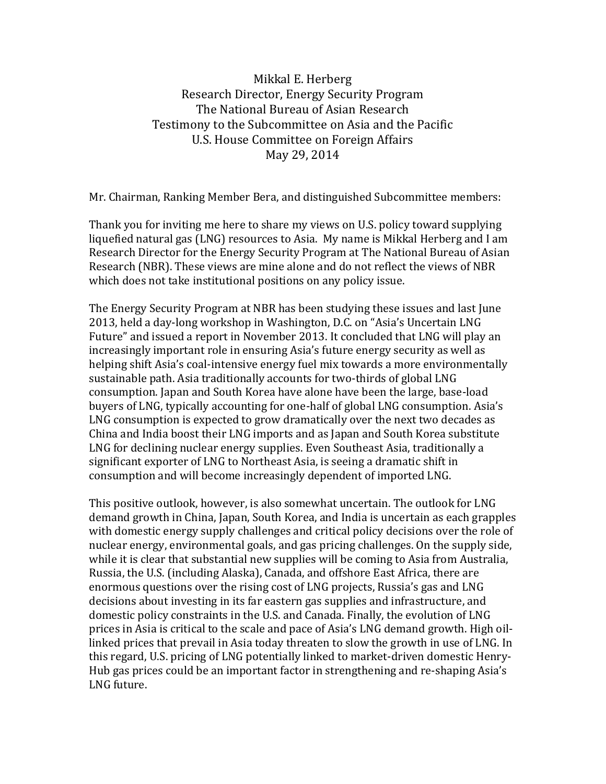## Mikkal E. Herberg Research Director, Energy Security Program The National Bureau of Asian Research Testimony to the Subcommittee on Asia and the Pacific U.S. House Committee on Foreign Affairs May 29, 2014

Mr. Chairman, Ranking Member Bera, and distinguished Subcommittee members:

Thank you for inviting me here to share my views on U.S. policy toward supplying liquefied natural gas (LNG) resources to Asia. My name is Mikkal Herberg and I am Research Director for the Energy Security Program at The National Bureau of Asian Research (NBR). These views are mine alone and do not reflect the views of NBR which does not take institutional positions on any policy issue.

The Energy Security Program at NBR has been studying these issues and last June 2013, held a day-long workshop in Washington, D.C. on "Asia's Uncertain LNG Future" and issued a report in November 2013. It concluded that LNG will play an increasingly important role in ensuring Asia's future energy security as well as helping shift Asia's coal-intensive energy fuel mix towards a more environmentally sustainable path. Asia traditionally accounts for two-thirds of global LNG consumption. Japan and South Korea have alone have been the large, base-load buyers of LNG, typically accounting for one-half of global LNG consumption. Asia's LNG consumption is expected to grow dramatically over the next two decades as China and India boost their LNG imports and as Japan and South Korea substitute LNG for declining nuclear energy supplies. Even Southeast Asia, traditionally a significant exporter of LNG to Northeast Asia, is seeing a dramatic shift in consumption and will become increasingly dependent of imported LNG.

This positive outlook, however, is also somewhat uncertain. The outlook for LNG demand growth in China, Japan, South Korea, and India is uncertain as each grapples with domestic energy supply challenges and critical policy decisions over the role of nuclear energy, environmental goals, and gas pricing challenges. On the supply side, while it is clear that substantial new supplies will be coming to Asia from Australia, Russia, the U.S. (including Alaska), Canada, and offshore East Africa, there are enormous questions over the rising cost of LNG projects, Russia's gas and LNG decisions about investing in its far eastern gas supplies and infrastructure, and domestic policy constraints in the U.S. and Canada. Finally, the evolution of LNG prices in Asia is critical to the scale and pace of Asia's LNG demand growth. High oillinked prices that prevail in Asia today threaten to slow the growth in use of LNG. In this regard, U.S. pricing of LNG potentially linked to market-driven domestic Henry-Hub gas prices could be an important factor in strengthening and re-shaping Asia's LNG future.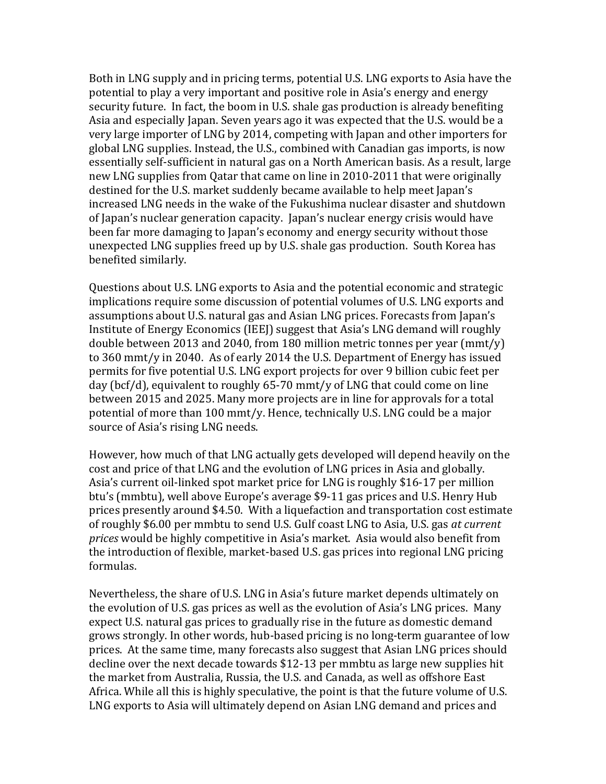Both in LNG supply and in pricing terms, potential U.S. LNG exports to Asia have the potential to play a very important and positive role in Asia's energy and energy security future. In fact, the boom in U.S. shale gas production is already benefiting Asia and especially Japan. Seven years ago it was expected that the U.S. would be a very large importer of LNG by 2014, competing with Japan and other importers for global LNG supplies. Instead, the U.S., combined with Canadian gas imports, is now essentially self-sufficient in natural gas on a North American basis. As a result, large new LNG supplies from Qatar that came on line in 2010-2011 that were originally destined for the U.S. market suddenly became available to help meet Japan's increased LNG needs in the wake of the Fukushima nuclear disaster and shutdown of Japan's nuclear generation capacity. Japan's nuclear energy crisis would have been far more damaging to Japan's economy and energy security without those unexpected LNG supplies freed up by U.S. shale gas production. South Korea has benefited similarly.

Questions about U.S. LNG exports to Asia and the potential economic and strategic implications require some discussion of potential volumes of U.S. LNG exports and assumptions about U.S. natural gas and Asian LNG prices. Forecasts from Japan's Institute of Energy Economics (IEEJ) suggest that Asia's LNG demand will roughly double between 2013 and 2040, from 180 million metric tonnes per year (mmt/y) to 360 mmt/y in 2040. As of early 2014 the U.S. Department of Energy has issued permits for five potential U.S. LNG export projects for over 9 billion cubic feet per day (bcf/d), equivalent to roughly 65-70 mmt/y of LNG that could come on line between 2015 and 2025. Many more projects are in line for approvals for a total potential of more than 100 mmt/y. Hence, technically U.S. LNG could be a major source of Asia's rising LNG needs.

However, how much of that LNG actually gets developed will depend heavily on the cost and price of that LNG and the evolution of LNG prices in Asia and globally. Asia's current oil-linked spot market price for LNG is roughly \$16-17 per million btu's (mmbtu), well above Europe's average \$9-11 gas prices and U.S. Henry Hub prices presently around \$4.50. With a liquefaction and transportation cost estimate of roughly \$6.00 per mmbtu to send U.S. Gulf coast LNG to Asia, U.S. gas *at current prices* would be highly competitive in Asia's market. Asia would also benefit from the introduction of flexible, market-based U.S. gas prices into regional LNG pricing formulas.

Nevertheless, the share of U.S. LNG in Asia's future market depends ultimately on the evolution of U.S. gas prices as well as the evolution of Asia's LNG prices. Many expect U.S. natural gas prices to gradually rise in the future as domestic demand grows strongly. In other words, hub-based pricing is no long-term guarantee of low prices. At the same time, many forecasts also suggest that Asian LNG prices should decline over the next decade towards \$12-13 per mmbtu as large new supplies hit the market from Australia, Russia, the U.S. and Canada, as well as offshore East Africa. While all this is highly speculative, the point is that the future volume of U.S. LNG exports to Asia will ultimately depend on Asian LNG demand and prices and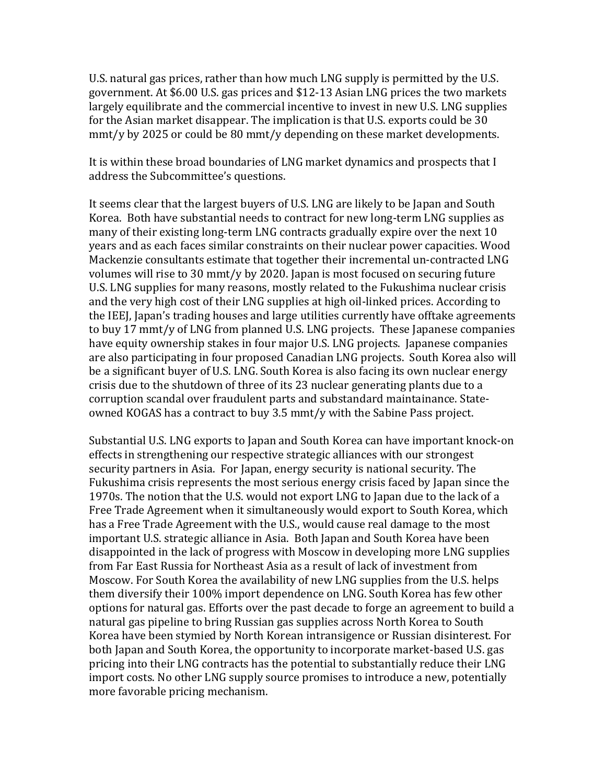U.S. natural gas prices, rather than how much LNG supply is permitted by the U.S. government. At \$6.00 U.S. gas prices and \$12-13 Asian LNG prices the two markets largely equilibrate and the commercial incentive to invest in new U.S. LNG supplies for the Asian market disappear. The implication is that U.S. exports could be 30 mmt/y by 2025 or could be 80 mmt/y depending on these market developments.

It is within these broad boundaries of LNG market dynamics and prospects that I address the Subcommittee's questions.

It seems clear that the largest buyers of U.S. LNG are likely to be Japan and South Korea. Both have substantial needs to contract for new long-term LNG supplies as many of their existing long-term LNG contracts gradually expire over the next 10 years and as each faces similar constraints on their nuclear power capacities. Wood Mackenzie consultants estimate that together their incremental un-contracted LNG volumes will rise to 30 mmt/y by 2020. Japan is most focused on securing future U.S. LNG supplies for many reasons, mostly related to the Fukushima nuclear crisis and the very high cost of their LNG supplies at high oil-linked prices. According to the IEEJ, Japan's trading houses and large utilities currently have offtake agreements to buy 17 mmt/y of LNG from planned U.S. LNG projects. These Japanese companies have equity ownership stakes in four major U.S. LNG projects. Japanese companies are also participating in four proposed Canadian LNG projects. South Korea also will be a significant buyer of U.S. LNG. South Korea is also facing its own nuclear energy crisis due to the shutdown of three of its 23 nuclear generating plants due to a corruption scandal over fraudulent parts and substandard maintainance. Stateowned KOGAS has a contract to buy 3.5 mmt/y with the Sabine Pass project.

Substantial U.S. LNG exports to Japan and South Korea can have important knock-on effects in strengthening our respective strategic alliances with our strongest security partners in Asia. For Japan, energy security is national security. The Fukushima crisis represents the most serious energy crisis faced by Japan since the 1970s. The notion that the U.S. would not export LNG to Japan due to the lack of a Free Trade Agreement when it simultaneously would export to South Korea, which has a Free Trade Agreement with the U.S., would cause real damage to the most important U.S. strategic alliance in Asia. Both Japan and South Korea have been disappointed in the lack of progress with Moscow in developing more LNG supplies from Far East Russia for Northeast Asia as a result of lack of investment from Moscow. For South Korea the availability of new LNG supplies from the U.S. helps them diversify their 100% import dependence on LNG. South Korea has few other options for natural gas. Efforts over the past decade to forge an agreement to build a natural gas pipeline to bring Russian gas supplies across North Korea to South Korea have been stymied by North Korean intransigence or Russian disinterest. For both Japan and South Korea, the opportunity to incorporate market-based U.S. gas pricing into their LNG contracts has the potential to substantially reduce their LNG import costs. No other LNG supply source promises to introduce a new, potentially more favorable pricing mechanism.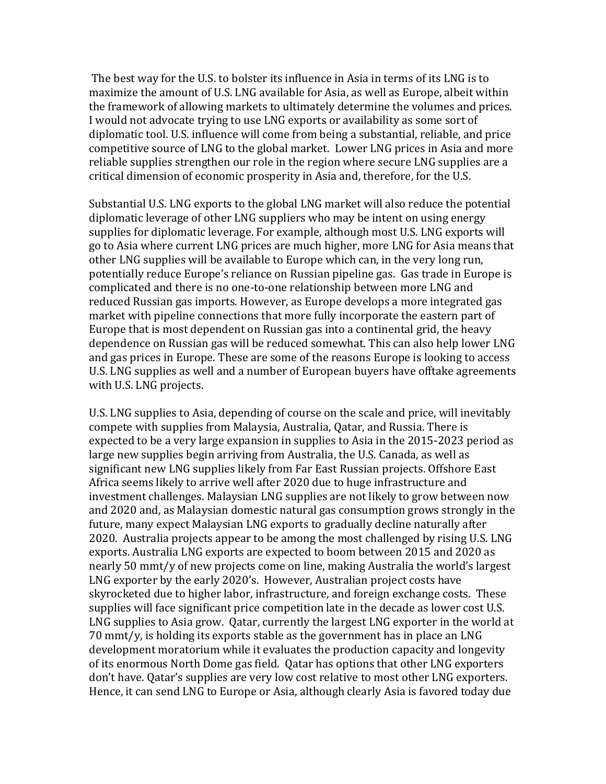The best way for the U.S. to bolster its influence in Asia in terms of its LNG is to maximize the amount of U.S. LNG available for Asia, as well as Europe, albeit within the framework of allowing markets to ultimately determine the volumes and prices. I would not advocate trying to use LNG exports or availability as some sort of diplomatic tool. U.S. influence will come from being a substantial, reliable, and price competitive source of LNG to the global market. Lower LNG prices in Asia and more reliable supplies strengthen our role in the region where secure LNG supplies are a critical dimension of economic prosperity in Asia and, therefore, for the U.S.

Substantial U.S. LNG exports to the global LNG market will also reduce the potential diplomatic leverage of other LNG suppliers who may be intent on using energy supplies for diplomatic leverage. For example, although most U.S. LNG exports will go to Asia where current LNG prices are much higher, more LNG for Asia means that other LNG supplies will be available to Europe which can, in the very long run, potentially reduce Europe's reliance on Russian pipeline gas. Gas trade in Europe is complicated and there is no one-to-one relationship between more LNG and reduced Russian gas imports. However, as Europe develops a more integrated gas market with pipeline connections that more fully incorporate the eastern part of Europe that is most dependent on Russian gas into a continental grid, the heavy dependence on Russian gas will be reduced somewhat. This can also help lower LNG and gas prices in Europe. These are some of the reasons Europe is looking to access U.S. LNG supplies as well and a number of European buyers have offtake agreements with U.S. LNG projects.

U.S. LNG supplies to Asia, depending of course on the scale and price, will inevitably compete with supplies from Malaysia, Australia, Qatar, and Russia. There is expected to be a very large expansion in supplies to Asia in the 2015-2023 period as large new supplies begin arriving from Australia, the U.S. Canada, as well as significant new LNG supplies likely from Far East Russian projects. Offshore East Africa seems likely to arrive well after 2020 due to huge infrastructure and investment challenges. Malaysian LNG supplies are not likely to grow between now and 2020 and, as Malaysian domestic natural gas consumption grows strongly in the future, many expect Malaysian LNG exports to gradually decline naturally after 2020. Australia projects appear to be among the most challenged by rising U.S. LNG exports. Australia LNG exports are expected to boom between 2015 and 2020 as nearly 50 mmt/y of new projects come on line, making Australia the world's largest LNG exporter by the early 2020's. However, Australian project costs have skyrocketed due to higher labor, infrastructure, and foreign exchange costs. These supplies will face significant price competition late in the decade as lower cost U.S. LNG supplies to Asia grow. Qatar, currently the largest LNG exporter in the world at 70 mmt/y, is holding its exports stable as the government has in place an LNG development moratorium while it evaluates the production capacity and longevity of its enormous North Dome gas field. Qatar has options that other LNG exporters don't have. Qatar's supplies are very low cost relative to most other LNG exporters. Hence, it can send LNG to Europe or Asia, although clearly Asia is favored today due